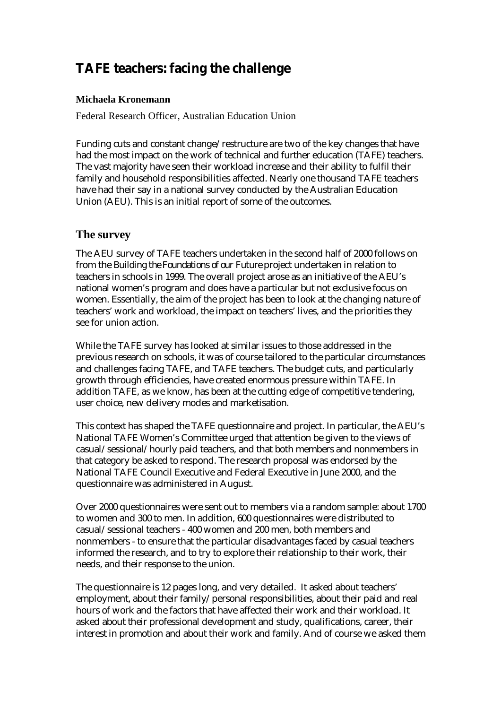# **TAFE teachers: facing the challenge**

# **Michaela Kronemann**

Federal Research Officer, Australian Education Union

Funding cuts and constant change/restructure are two of the key changes that have had the most impact on the work of technical and further education (TAFE) teachers. The vast majority have seen their workload increase and their ability to fulfil their family and household responsibilities affected. Nearly one thousand TAFE teachers have had their say in a national survey conducted by the Australian Education Union (AEU). This is an initial report of some of the outcomes.

# **The survey**

The AEU survey of TAFE teachers undertaken in the second half of 2000 follows on from the *Building the Foundations of our Future* project undertaken in relation to teachers in schools in 1999. The overall project arose as an initiative of the AEU's national women's program and does have a particular but not exclusive focus on women. Essentially, the aim of the project has been to look at the changing nature of teachers' work and workload, the impact on teachers' lives, and the priorities they see for union action.

While the TAFE survey has looked at similar issues to those addressed in the previous research on schools, it was of course tailored to the particular circumstances and challenges facing TAFE, and TAFE teachers. The budget cuts, and particularly growth through efficiencies, have created enormous pressure within TAFE. In addition TAFE, as we know, has been at the cutting edge of competitive tendering, user choice, new delivery modes and marketisation.

This context has shaped the TAFE questionnaire and project. In particular, the AEU's National TAFE Women's Committee urged that attention be given to the views of casual/sessional/hourly paid teachers, and that both members and nonmembers in that category be asked to respond. The research proposal was endorsed by the National TAFE Council Executive and Federal Executive in June 2000, and the questionnaire was administered in August.

Over 2000 questionnaires were sent out to members via a random sample: about 1700 to women and 300 to men. In addition, 600 questionnaires were distributed to casual/sessional teachers - 400 women and 200 men, both members and nonmembers - to ensure that the particular disadvantages faced by casual teachers informed the research, and to try to explore their relationship to their work, their needs, and their response to the union.

The questionnaire is 12 pages long, and very detailed. It asked about teachers' employment, about their family/personal responsibilities, about their paid and real hours of work and the factors that have affected their work and their workload. It asked about their professional development and study, qualifications, career, their interest in promotion and about their work and family. And of course we asked them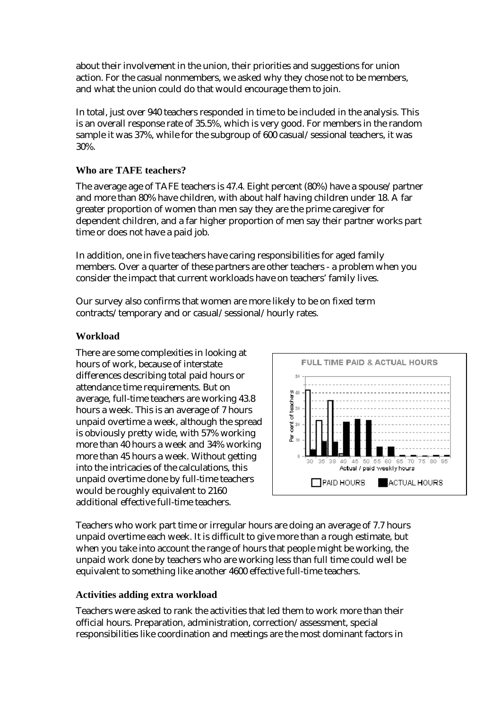about their involvement in the union, their priorities and suggestions for union action. For the casual nonmembers, we asked why they chose not to be members, and what the union could do that would encourage them to join.

In total, just over 940 teachers responded in time to be included in the analysis. This is an overall response rate of 35.5%, which is very good. For members in the random sample it was 37%, while for the subgroup of 600 casual/sessional teachers, it was 30%.

# **Who are TAFE teachers?**

The average age of TAFE teachers is 47.4. Eight percent (80%) have a spouse/partner and more than 80% have children, with about half having children under 18. A far greater proportion of women than men say they are the prime caregiver for dependent children, and a far higher proportion of men say their partner works part time or does not have a paid job.

In addition, one in five teachers have caring responsibilities for aged family members. Over a quarter of these partners are other teachers - a problem when you consider the impact that current workloads have on teachers' family lives.

Our survey also confirms that women are more likely to be on fixed term contracts/temporary and or casual/sessional/hourly rates.

## **Workload**

There are some complexities in looking at hours of work, because of interstate differences describing total paid hours or attendance time requirements. But on average, full-time teachers are working 43.8 hours a week. This is an average of 7 hours unpaid overtime a week, although the spread is obviously pretty wide, with 57% working more than 40 hours a week and 34% working more than 45 hours a week. Without getting into the intricacies of the calculations, this unpaid overtime done by full-time teachers would be roughly equivalent to 2160 additional effective full-time teachers.



Teachers who work part time or irregular hours are doing an average of 7.7 hours unpaid overtime each week. It is difficult to give more than a rough estimate, but when you take into account the range of hours that people might be working, the unpaid work done by teachers who are working less than full time could well be equivalent to something like another 4600 effective full-time teachers.

# **Activities adding extra workload**

Teachers were asked to rank the activities that led them to work more than their official hours. Preparation, administration, correction/assessment, special responsibilities like coordination and meetings are the most dominant factors in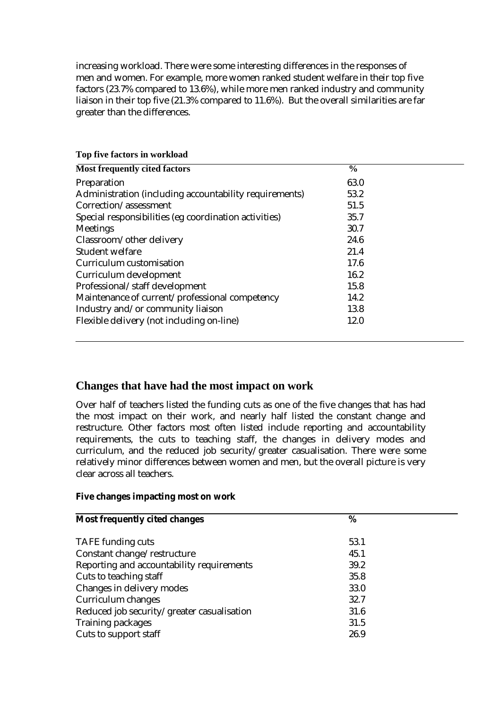increasing workload. There were some interesting differences in the responses of men and women. For example, more women ranked student welfare in their top five factors (23.7% compared to 13.6%), while more men ranked industry and community liaison in their top five (21.3% compared to 11.6%). But the overall similarities are far greater than the differences.

| $\frac{6}{6}$ |  |
|---------------|--|
| 63.0          |  |
| 53.2          |  |
| 51.5          |  |
| 35.7          |  |
| 30.7          |  |
| 24.6          |  |
| 21.4          |  |
| 17.6          |  |
| 16.2          |  |
| 15.8          |  |
| 14.2          |  |
| 13.8          |  |
| 12.0          |  |
|               |  |

### **Top five factors in workload**

# **Changes that have had the most impact on work**

Over half of teachers listed the funding cuts as one of the five changes that has had the most impact on their work, and nearly half listed the constant change and restructure. Other factors most often listed include reporting and accountability requirements, the cuts to teaching staff, the changes in delivery modes and curriculum, and the reduced job security/greater casualisation. There were some relatively minor differences between women and men, but the overall picture is very clear across all teachers.

#### **Five changes impacting most on work**

| <b>Most frequently cited changes</b>       | %    |  |
|--------------------------------------------|------|--|
| <b>TAFE</b> funding cuts                   | 53.1 |  |
| Constant change/restructure                | 45.1 |  |
| Reporting and accountability requirements  | 39.2 |  |
| Cuts to teaching staff                     | 35.8 |  |
| Changes in delivery modes                  | 33.0 |  |
| Curriculum changes                         | 32.7 |  |
| Reduced job security/greater casualisation | 31.6 |  |
| <b>Training packages</b>                   | 31.5 |  |
| Cuts to support staff                      | 26.9 |  |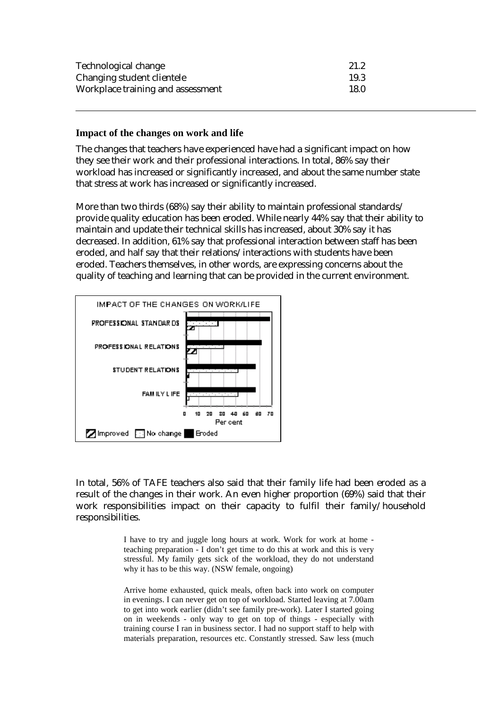| Technological change              | 21.2 |
|-----------------------------------|------|
| Changing student clientele        | 19.3 |
| Workplace training and assessment | 18.0 |

#### **Impact of the changes on work and life**

The changes that teachers have experienced have had a significant impact on how they see their work and their professional interactions. In total, 86% say their workload has increased or significantly increased, and about the same number state that stress at work has increased or significantly increased.

More than two thirds (68%) say their ability to maintain professional standards/ provide quality education has been eroded. While nearly 44% say that their ability to maintain and update their technical skills has increased, about 30% say it has decreased. In addition, 61% say that professional interaction between staff has been eroded, and half say that their relations/interactions with students have been eroded. Teachers themselves, in other words, are expressing concerns about the quality of teaching and learning that can be provided in the current environment.



In total, 56% of TAFE teachers also said that their family life had been eroded as a result of the changes in their work. An even higher proportion (69%) said that their work responsibilities impact on their capacity to fulfil their family/household responsibilities.

> I have to try and juggle long hours at work. Work for work at home teaching preparation - I don't get time to do this at work and this is very stressful. My family gets sick of the workload, they do not understand why it has to be this way. (NSW female, ongoing)

> Arrive home exhausted, quick meals, often back into work on computer in evenings. I can never get on top of workload. Started leaving at 7.00am to get into work earlier (didn't see family pre-work). Later I started going on in weekends - only way to get on top of things - especially with training course I ran in business sector. I had no support staff to help with materials preparation, resources etc. Constantly stressed. Saw less (much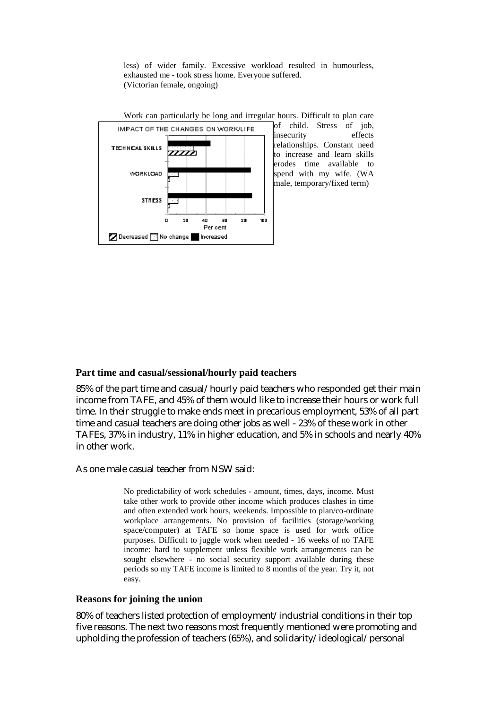less) of wider family. Excessive workload resulted in humourless, exhausted me - took stress home. Everyone suffered. (Victorian female, ongoing)



Work can particularly be long and irregular hours. Difficult to plan care of child. Stress of job, insecurity effects relationships. Constant need to increase and learn skills erodes time available to spend with my wife. (WA male, temporary/fixed term)

#### **Part time and casual/sessional/hourly paid teachers**

85% of the part time and casual/hourly paid teachers who responded get their main income from TAFE, and 45% of them would like to increase their hours or work full time. In their struggle to make ends meet in precarious employment, 53% of all part time and casual teachers are doing other jobs as well - 23% of these work in other TAFEs, 37% in industry, 11% in higher education, and 5% in schools and nearly 40% in other work.

As one male casual teacher from NSW said:

No predictability of work schedules - amount, times, days, income. Must take other work to provide other income which produces clashes in time and often extended work hours, weekends. Impossible to plan/co-ordinate workplace arrangements. No provision of facilities (storage/working space/computer) at TAFE so home space is used for work office purposes. Difficult to juggle work when needed - 16 weeks of no TAFE income: hard to supplement unless flexible work arrangements can be sought elsewhere - no social security support available during these periods so my TAFE income is limited to 8 months of the year. Try it, not easy.

#### **Reasons for joining the union**

80% of teachers listed protection of employment/industrial conditions in their top five reasons. The next two reasons most frequently mentioned were promoting and upholding the profession of teachers (65%), and solidarity/ideological/personal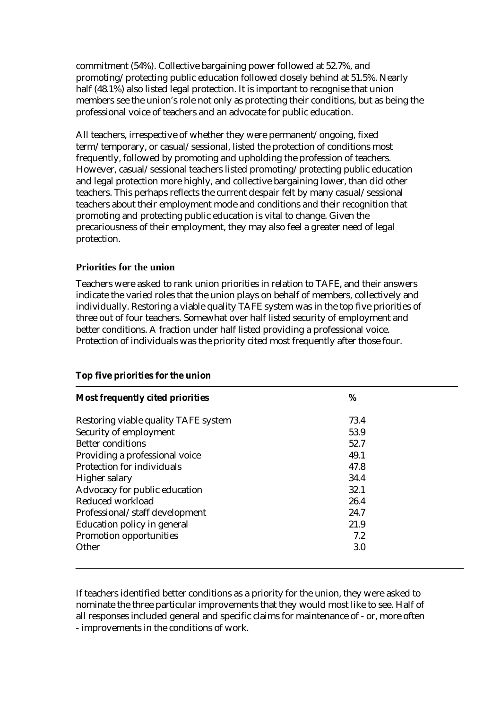commitment (54%). Collective bargaining power followed at 52.7%, and promoting/protecting public education followed closely behind at 51.5%. Nearly half (48.1%) also listed legal protection. It is important to recognise that union members see the union's role not only as protecting their conditions, but as being the professional voice of teachers and an advocate for public education.

All teachers, irrespective of whether they were permanent/ongoing, fixed term/temporary, or casual/sessional, listed the protection of conditions most frequently, followed by promoting and upholding the profession of teachers. However, casual/sessional teachers listed promoting/protecting public education and legal protection more highly, and collective bargaining lower, than did other teachers. This perhaps reflects the current despair felt by many casual/sessional teachers about their employment mode and conditions and their recognition that promoting and protecting public education is vital to change. Given the precariousness of their employment, they may also feel a greater need of legal protection.

### **Priorities for the union**

Teachers were asked to rank union priorities in relation to TAFE, and their answers indicate the varied roles that the union plays on behalf of members, collectively and individually. Restoring a viable quality TAFE system was in the top five priorities of three out of four teachers. Somewhat over half listed security of employment and better conditions. A fraction under half listed providing a professional voice. Protection of individuals was the priority cited most frequently after those four.

| <b>Most frequently cited priorities</b> | %    |  |
|-----------------------------------------|------|--|
| Restoring viable quality TAFE system    | 73.4 |  |
| Security of employment                  | 53.9 |  |
| <b>Better conditions</b>                | 52.7 |  |
| Providing a professional voice          | 49.1 |  |
| Protection for individuals              | 47.8 |  |
| Higher salary                           | 34.4 |  |
| Advocacy for public education           | 32.1 |  |
| Reduced workload                        | 26.4 |  |
| Professional/staff development          | 24.7 |  |
| Education policy in general             | 21.9 |  |
| Promotion opportunities                 | 7.2  |  |
| Other                                   | 3.0  |  |

### **Top five priorities for the union**

If teachers identified better conditions as a priority for the union, they were asked to nominate the three particular improvements that they would most like to see. Half of all responses included general and specific claims for maintenance of - or, more often - improvements in the conditions of work.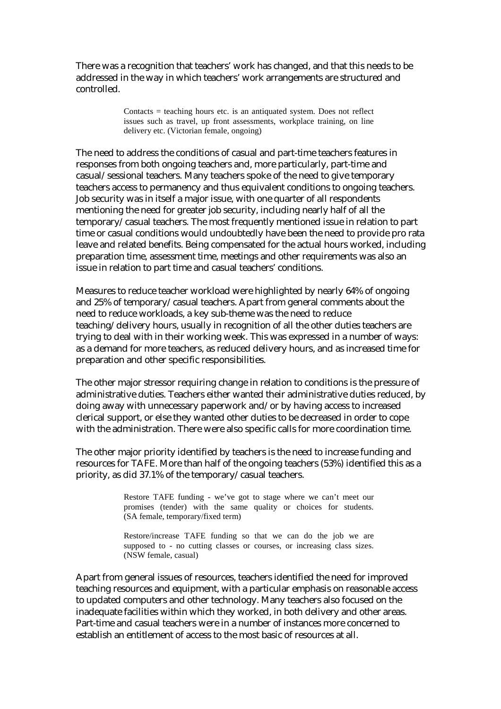There was a recognition that teachers' work has changed, and that this needs to be addressed in the way in which teachers' work arrangements are structured and controlled.

> $Contexts = teaching hours etc.$  is an antiquated system. Does not reflect issues such as travel, up front assessments, workplace training, on line delivery etc. (Victorian female, ongoing)

The need to address the conditions of casual and part-time teachers features in responses from both ongoing teachers and, more particularly, part-time and casual/sessional teachers. Many teachers spoke of the need to give temporary teachers access to permanency and thus equivalent conditions to ongoing teachers. Job security was in itself a major issue, with one quarter of all respondents mentioning the need for greater job security, including nearly half of all the temporary/casual teachers. The most frequently mentioned issue in relation to part time or casual conditions would undoubtedly have been the need to provide pro rata leave and related benefits. Being compensated for the actual hours worked, including preparation time, assessment time, meetings and other requirements was also an issue in relation to part time and casual teachers' conditions.

Measures to reduce teacher workload were highlighted by nearly 64% of ongoing and 25% of temporary/casual teachers. Apart from general comments about the need to reduce workloads, a key sub-theme was the need to reduce teaching/delivery hours, usually in recognition of all the other duties teachers are trying to deal with in their working week. This was expressed in a number of ways: as a demand for more teachers, as reduced delivery hours, and as increased time for preparation and other specific responsibilities.

The other major stressor requiring change in relation to conditions is the pressure of administrative duties. Teachers either wanted their administrative duties reduced, by doing away with unnecessary paperwork and/or by having access to increased clerical support, or else they wanted other duties to be decreased in order to cope with the administration. There were also specific calls for more coordination time.

The other major priority identified by teachers is the need to increase funding and resources for TAFE. More than half of the ongoing teachers (53%) identified this as a priority, as did 37.1% of the temporary/casual teachers.

> Restore TAFE funding - we've got to stage where we can't meet our promises (tender) with the same quality or choices for students. (SA female, temporary/fixed term)

> Restore/increase TAFE funding so that we can do the job we are supposed to - no cutting classes or courses, or increasing class sizes. (NSW female, casual)

Apart from general issues of resources, teachers identified the need for improved teaching resources and equipment, with a particular emphasis on reasonable access to updated computers and other technology. Many teachers also focused on the inadequate facilities within which they worked, in both delivery and other areas. Part-time and casual teachers were in a number of instances more concerned to establish an entitlement of access to the most basic of resources at all.